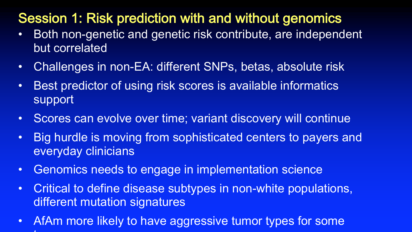# Session 1: Risk prediction with and without genomics

- Both non-genetic and genetic risk contribute, are independent but correlated
- Challenges in non-EA: different SNPs, betas, absolute risk
- Best predictor of using risk scores is available informatics support
- Scores can evolve over time; variant discovery will continue
- Big hurdle is moving from sophisticated centers to payers and everyday clinicians
- Genomics needs to engage in implementation science
- Critical to define disease subtypes in non-white populations, different mutation signatures
- AfAm more likely to have aggressive tumor types for some tumors and the company of the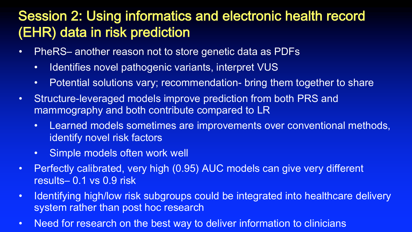## Session 2: Using informatics and electronic health record (EHR) data in risk prediction

- PheRS– another reason not to store genetic data as PDFs
	- Identifies novel pathogenic variants, interpret VUS
	- Potential solutions vary; recommendation- bring them together to share
- Structure-leveraged models improve prediction from both PRS and mammography and both contribute compared to LR
	- Learned models sometimes are improvements over conventional methods, identify novel risk factors
	- Simple models often work well
- Perfectly calibrated, very high (0.95) AUC models can give very different results– 0.1 vs 0.9 risk
- Identifying high/low risk subgroups could be integrated into healthcare delivery system rather than post hoc research
- Need for research on the best way to deliver information to clinicians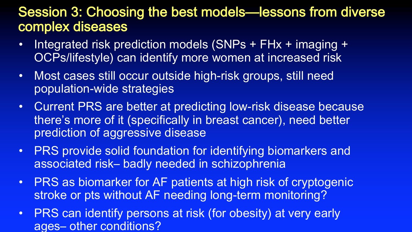#### Session 3: Choosing the best models—lessons from diverse complex diseases

- Integrated risk prediction models (SNPs + FHx + imaging + OCPs/lifestyle) can identify more women at increased risk
- Most cases still occur outside high-risk groups, still need population-wide strategies
- Current PRS are better at predicting low-risk disease because there's more of it (specifically in breast cancer), need better prediction of aggressive disease
- PRS provide solid foundation for identifying biomarkers and associated risk– badly needed in schizophrenia
- PRS as biomarker for AF patients at high risk of cryptogenic stroke or pts without AF needing long-term monitoring?
- PRS can identify persons at risk (for obesity) at very early ages– other conditions?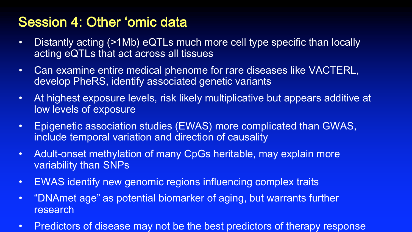#### Session 4: Other 'omic data

- Distantly acting (>1Mb) eQTLs much more cell type specific than locally acting eQTLs that act across all tissues
- Can examine entire medical phenome for rare diseases like VACTERL, develop PheRS, identify associated genetic variants
- At highest exposure levels, risk likely multiplicative but appears additive at low levels of exposure
- Epigenetic association studies (EWAS) more complicated than GWAS, include temporal variation and direction of causality
- Adult-onset methylation of many CpGs heritable, may explain more variability than SNPs
- EWAS identify new genomic regions influencing complex traits
- $\bullet$ "DNAmet age" as potential biomarker of aging, but warrants further research
- Predictors of disease may not be the best predictors of therapy response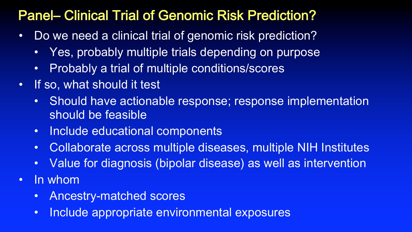## Panel– Clinical Trial of Genomic Risk Prediction?

- Do we need a clinical trial of genomic risk prediction?
	- Yes, probably multiple trials depending on purpose
	- Probably a trial of multiple conditions/scores
- If so, what should it test
	- Should have actionable response; response implementation should be feasible
	- Include educational components
	- Collaborate across multiple diseases, multiple NIH Institutes
	- Value for diagnosis (bipolar disease) as well as intervention
- In whom
	- Ancestry-matched scores
	- Include appropriate environmental exposures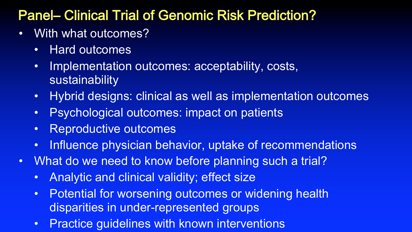## Panel– Clinical Trial of Genomic Risk Prediction?

- With what outcomes?
	- Hard outcomes
	- Implementation outcomes: acceptability, costs, sustainability
	- Hybrid designs: clinical as well as implementation outcomes
	- Psychological outcomes: impact on patients
	- Reproductive outcomes
	- Influence physician behavior, uptake of recommendations
- What do we need to know before planning such a trial?
	- Analytic and clinical validity; effect size
	- Potential for worsening outcomes or widening health disparities in under-represented groups
	- Practice guidelines with known interventions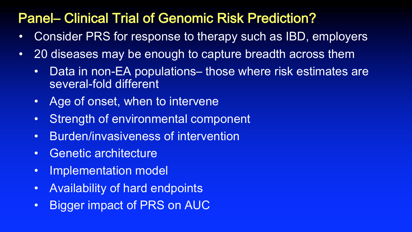### Panel– Clinical Trial of Genomic Risk Prediction?

- Consider PRS for response to therapy such as IBD, employers
- 20 diseases may be enough to capture breadth across them
	- Data in non-EA populations– those where risk estimates are several-fold different
	- Age of onset, when to intervene
	- Strength of environmental component
	- Burden/invasiveness of intervention
	- Genetic architecture
	- Implementation model
	- Availability of hard endpoints
	- Bigger impact of PRS on AUC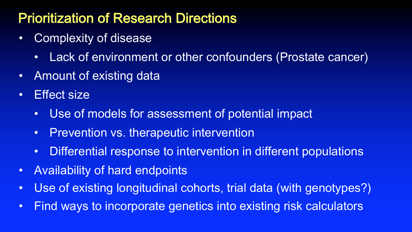## Prioritization of Research Directions

- Complexity of disease
	- Lack of environment or other confounders (Prostate cancer)
- Amount of existing data
- Effect size
	- Use of models for assessment of potential impact
	- Prevention vs. therapeutic intervention
	- Differential response to intervention in different populations
- Availability of hard endpoints
- Use of existing longitudinal cohorts, trial data (with genotypes?)
- Find ways to incorporate genetics into existing risk calculators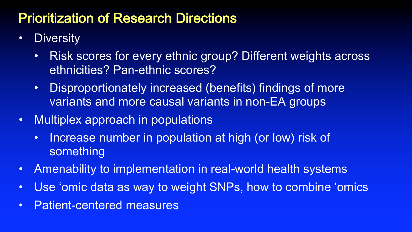### Prioritization of Research Directions

- Diversity
	- Risk scores for every ethnic group? Different weights across ethnicities? Pan-ethnic scores?
	- Disproportionately increased (benefits) findings of more variants and more causal variants in non-EA groups
- Multiplex approach in populations
	- Increase number in population at high (or low) risk of something
- Amenability to implementation in real-world health systems
- Use 'omic data as way to weight SNPs, how to combine 'omics
- Patient-centered measures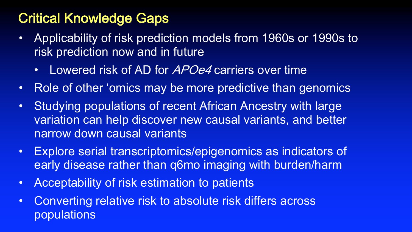# Critical Knowledge Gaps

- Applicability of risk prediction models from 1960s or 1990s to risk prediction now and in future
	- Lowered risk of AD for *APOe4* carriers over time
- Role of other 'omics may be more predictive than genomics
- Studying populations of recent African Ancestry with large variation can help discover new causal variants, and better narrow down causal variants
- Explore serial transcriptomics/epigenomics as indicators of early disease rather than q6mo imaging with burden/harm
- Acceptability of risk estimation to patients
- Converting relative risk to absolute risk differs across populations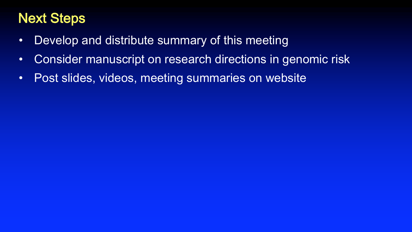# Next Steps

- Develop and distribute summary of this meeting
- Consider manuscript on research directions in genomic risk
- Post slides, videos, meeting summaries on website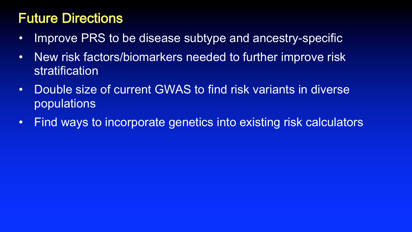## Future Directions

- Improve PRS to be disease subtype and ancestry-specific
- New risk factors/biomarkers needed to further improve risk stratification
- Double size of current GWAS to find risk variants in diverse populations
- Find ways to incorporate genetics into existing risk calculators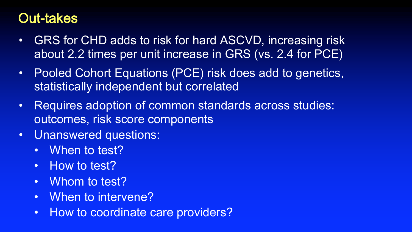#### Out-takes

- GRS for CHD adds to risk for hard ASCVD, increasing risk about 2.2 times per unit increase in GRS (vs. 2.4 for PCE)
- Pooled Cohort Equations (PCE) risk does add to genetics, statistically independent but correlated
- Requires adoption of common standards across studies: outcomes, risk score components
- Unanswered questions:
	- When to test?
	- How to test?
	- Whom to test?
	- When to intervene?
	- How to coordinate care providers?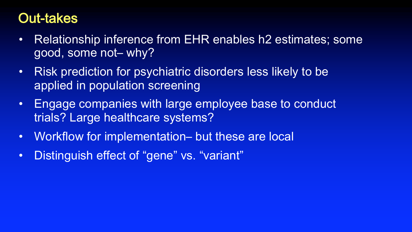#### Out-takes

- Relationship inference from EHR enables h2 estimates; some good, some not– why?
- Risk prediction for psychiatric disorders less likely to be applied in population screening
- Engage companies with large employee base to conduct trials? Large healthcare systems?
- Workflow for implementation– but these are local
- Distinguish effect of "gene" vs. "variant"